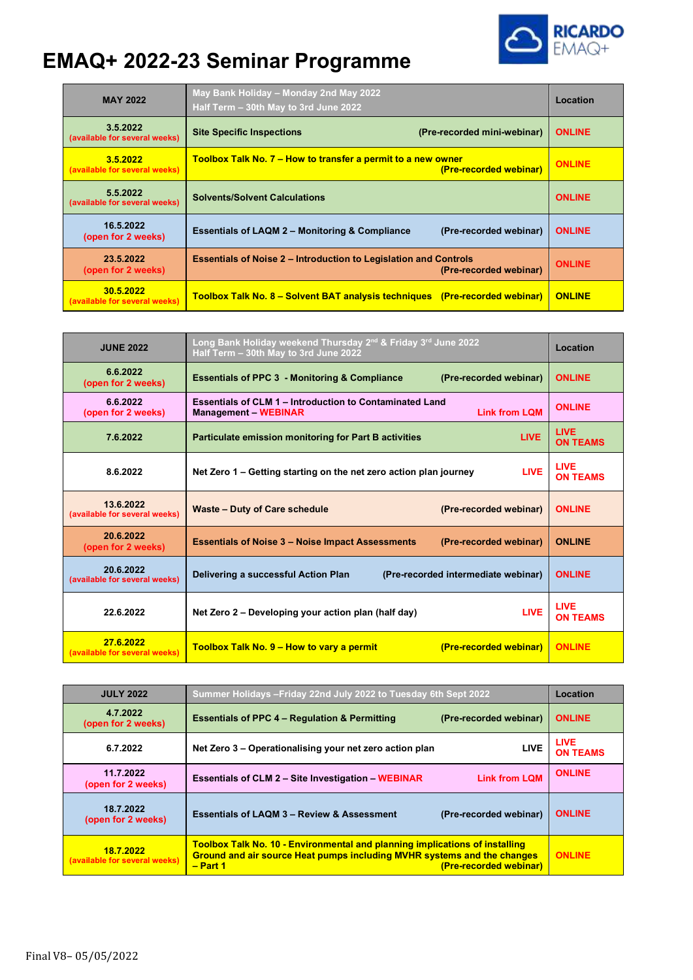## **EMAQ+ 2022-23 Seminar Programme**



| <b>MAY 2022</b>                            | May Bank Holiday - Monday 2nd May 2022<br>Half Term - 30th May to 3rd June 2022                   | Location      |
|--------------------------------------------|---------------------------------------------------------------------------------------------------|---------------|
| 3.5.2022<br>(available for several weeks)  | <b>Site Specific Inspections</b><br>(Pre-recorded mini-webinar)                                   | <b>ONLINE</b> |
| 3.5.2022<br>(available for several weeks)  | <b>Toolbox Talk No. 7 – How to transfer a permit to a new owner</b><br>(Pre-recorded webinar)     | <b>ONLINE</b> |
| 5.5.2022<br>(available for several weeks)  | <b>Solvents/Solvent Calculations</b>                                                              | <b>ONLINE</b> |
| 16.5.2022<br>(open for 2 weeks)            | <b>Essentials of LAQM 2 - Monitoring &amp; Compliance</b><br>(Pre-recorded webinar)               | <b>ONLINE</b> |
| 23.5.2022<br>(open for 2 weeks)            | <b>Essentials of Noise 2 – Introduction to Legislation and Controls</b><br>(Pre-recorded webinar) |               |
| 30.5.2022<br>(available for several weeks) | Toolbox Talk No. 8 – Solvent BAT analysis techniques (Pre-recorded webinar)                       | <b>ONLINE</b> |

| <b>JUNE 2022</b>                           | Long Bank Holiday weekend Thursday 2nd & Friday 3rd June 2022<br>Half Term - 30th May to 3rd June 2022 |                                     | Location                       |
|--------------------------------------------|--------------------------------------------------------------------------------------------------------|-------------------------------------|--------------------------------|
| 6.6.2022<br>(open for 2 weeks)             | <b>Essentials of PPC 3 - Monitoring &amp; Compliance</b>                                               | (Pre-recorded webinar)              | <b>ONLINE</b>                  |
| 6.6.2022<br>(open for 2 weeks)             | <b>Essentials of CLM 1 - Introduction to Contaminated Land</b><br><b>Management - WEBINAR</b>          | <b>Link from LOM</b>                | <b>ONLINE</b>                  |
| 7.6.2022                                   | <b>Particulate emission monitoring for Part B activities</b>                                           | <b>LIVE</b>                         | <b>LIVE</b><br><b>ON TEAMS</b> |
| 8.6.2022                                   | Net Zero 1 – Getting starting on the net zero action plan journey                                      | <b>LIVE</b>                         | <b>LIVE</b><br><b>ON TEAMS</b> |
| 13.6.2022<br>(available for several weeks) | Waste - Duty of Care schedule                                                                          | (Pre-recorded webinar)              | <b>ONLINE</b>                  |
| 20.6.2022<br>(open for 2 weeks)            | <b>Essentials of Noise 3 – Noise Impact Assessments</b>                                                | (Pre-recorded webinar)              | <b>ONLINE</b>                  |
| 20.6.2022<br>(available for several weeks) | Delivering a successful Action Plan                                                                    | (Pre-recorded intermediate webinar) | <b>ONLINE</b>                  |
| 22.6.2022                                  | Net Zero 2 – Developing your action plan (half day)                                                    | <b>LIVE</b>                         | <b>LIVE</b><br><b>ON TEAMS</b> |
| 27.6.2022<br>(available for several weeks) | Toolbox Talk No. 9 – How to vary a permit                                                              | (Pre-recorded webinar)              | <b>ONLINE</b>                  |

| <b>JULY 2022</b>                           | Summer Holidays - Friday 22nd July 2022 to Tuesday 6th Sept 2022                                                                                                                                           |                        | Location                       |
|--------------------------------------------|------------------------------------------------------------------------------------------------------------------------------------------------------------------------------------------------------------|------------------------|--------------------------------|
| 4.7.2022<br>(open for 2 weeks)             | <b>Essentials of PPC 4 – Regulation &amp; Permitting</b>                                                                                                                                                   | (Pre-recorded webinar) | <b>ONLINE</b>                  |
| 6.7.2022                                   | Net Zero 3 - Operationalising your net zero action plan                                                                                                                                                    | <b>LIVE</b>            | <b>LIVE</b><br><b>ON TEAMS</b> |
| 11.7.2022<br>(open for 2 weeks)            | <b>Essentials of CLM 2 – Site Investigation – WEBINAR</b>                                                                                                                                                  | <b>Link from LQM</b>   | <b>ONLINE</b>                  |
| 18.7.2022<br>(open for 2 weeks)            | <b>Essentials of LAQM 3 - Review &amp; Assessment</b>                                                                                                                                                      | (Pre-recorded webinar) | <b>ONLINE</b>                  |
| 18.7.2022<br>(available for several weeks) | <b>Toolbox Talk No. 10 - Environmental and planning implications of installing</b><br><b>Ground and air source Heat pumps including MVHR systems and the changes</b><br>(Pre-recorded webinar)<br>- Part 1 |                        | <b>ONLINE</b>                  |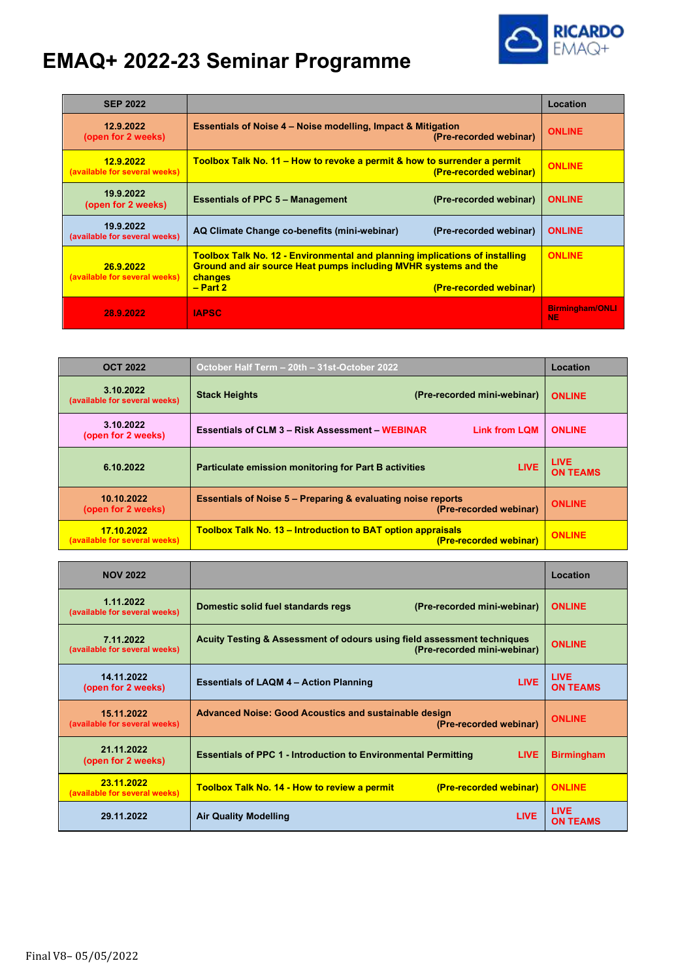## **RICARDO**

## **EMAQ+ 2022-23 Seminar Programme**

| <b>SEP 2022</b>                            |                                                                                                                                                                                                                 | Location                            |
|--------------------------------------------|-----------------------------------------------------------------------------------------------------------------------------------------------------------------------------------------------------------------|-------------------------------------|
| 12.9.2022<br>(open for 2 weeks)            | <b>Essentials of Noise 4 – Noise modelling, Impact &amp; Mitigation</b><br>(Pre-recorded webinar)                                                                                                               | <b>ONLINE</b>                       |
| 12.9.2022<br>(available for several weeks) | Toolbox Talk No. 11 – How to revoke a permit & how to surrender a permit<br>(Pre-recorded webinar)                                                                                                              | <b>ONLINE</b>                       |
| 19.9.2022<br>(open for 2 weeks)            | <b>Essentials of PPC 5 – Management</b><br>(Pre-recorded webinar)                                                                                                                                               | <b>ONLINE</b>                       |
| 19.9.2022<br>(available for several weeks) | AQ Climate Change co-benefits (mini-webinar)<br>(Pre-recorded webinar)                                                                                                                                          | <b>ONLINE</b>                       |
| 26.9.2022<br>(available for several weeks) | <b>Toolbox Talk No. 12 - Environmental and planning implications of installing</b><br><b>Ground and air source Heat pumps including MVHR systems and the</b><br>changes<br>$- Part 2$<br>(Pre-recorded webinar) | <b>ONLINE</b>                       |
| 28.9.2022                                  | <b>IAPSC</b>                                                                                                                                                                                                    | <b>Birmingham/ONLI</b><br><b>NE</b> |

| <b>OCT 2022</b>                             | October Half Term - 20th - 31st-October 2022                                                      | Location                       |
|---------------------------------------------|---------------------------------------------------------------------------------------------------|--------------------------------|
| 3.10.2022<br>(available for several weeks)  | <b>Stack Heights</b><br>(Pre-recorded mini-webinar)                                               | <b>ONLINE</b>                  |
| 3.10.2022<br>(open for 2 weeks)             | <b>Essentials of CLM 3 - Risk Assessment - WEBINAR</b><br><b>Link from LQM</b>                    | <b>ONLINE</b>                  |
| 6.10.2022                                   | <b>LIVE</b><br><b>Particulate emission monitoring for Part B activities</b>                       | <b>LIVE</b><br><b>ON TEAMS</b> |
| 10.10.2022<br>(open for 2 weeks)            | <b>Essentials of Noise 5 – Preparing &amp; evaluating noise reports</b><br>(Pre-recorded webinar) | <b>ONLINE</b>                  |
| 17.10.2022<br>(available for several weeks) | <b>Toolbox Talk No. 13 – Introduction to BAT option appraisals</b><br>(Pre-recorded webinar)      | <b>ONLINE</b>                  |

| <b>NOV 2022</b>                             |                                                                                                        | Location                        |
|---------------------------------------------|--------------------------------------------------------------------------------------------------------|---------------------------------|
| 1.11.2022<br>(available for several weeks)  | Domestic solid fuel standards regs<br>(Pre-recorded mini-webinar)                                      | <b>ONLINE</b>                   |
| 7.11.2022<br>(available for several weeks)  | Acuity Testing & Assessment of odours using field assessment techniques<br>(Pre-recorded mini-webinar) | <b>ONLINE</b>                   |
| 14.11.2022<br>(open for 2 weeks)            | <b>LIVE</b><br><b>Essentials of LAQM 4 - Action Planning</b>                                           | <b>LIVE</b><br><b>ON TEAMS</b>  |
| 15.11.2022<br>(available for several weeks) | <b>Advanced Noise: Good Acoustics and sustainable design</b><br>(Pre-recorded webinar)                 | <b>ONLINE</b>                   |
| 21.11.2022<br>(open for 2 weeks)            | <b>Essentials of PPC 1 - Introduction to Environmental Permitting</b><br><b>LIVE</b>                   | <b>Birmingham</b>               |
| 23.11.2022<br>(available for several weeks) | <b>Toolbox Talk No. 14 - How to review a permit</b><br>(Pre-recorded webinar)                          | <b>ONLINE</b>                   |
| 29.11.2022                                  | <b>LIVE</b><br><b>Air Quality Modelling</b>                                                            | <b>I</b> IVE<br><b>ON TEAMS</b> |